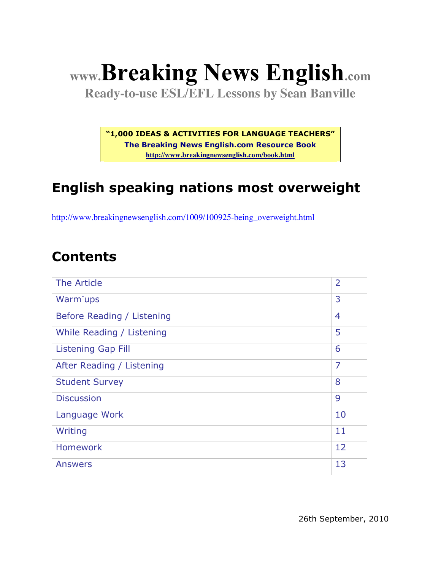# **www.Breaking News English.com**

**Ready-to-use ESL/EFL Lessons by Sean Banville**

**"1,000 IDEAS & ACTIVITIES FOR LANGUAGE TEACHERS"**

**The Breaking News English.com Resource Book http://www.breakingnewsenglish.com/book.html**

# **English speaking nations most overweight**

http://www.breakingnewsenglish.com/1009/100925-being\_overweight.html

#### **Contents**

| The Article                | $\overline{2}$ |
|----------------------------|----------------|
| Warm ups                   | 3              |
| Before Reading / Listening | $\overline{4}$ |
| While Reading / Listening  | 5              |
| <b>Listening Gap Fill</b>  | 6              |
| After Reading / Listening  | $\overline{7}$ |
| <b>Student Survey</b>      | 8              |
| <b>Discussion</b>          | 9              |
| Language Work              | 10             |
| Writing                    | 11             |
| <b>Homework</b>            | 12             |
| <b>Answers</b>             | 13             |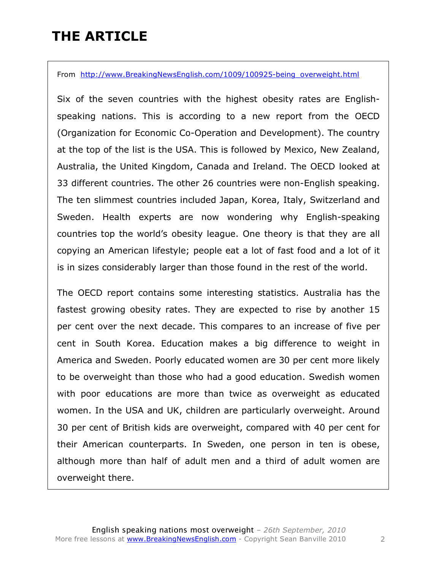### **THE ARTICLE**

From http://www.BreakingNewsEnglish.com/1009/100925-being overweight.html

Six of the seven countries with the highest obesity rates are Englishspeaking nations. This is according to a new report from the OECD (Organization for Economic Co-Operation and Development). The country at the top of the list is the USA. This is followed by Mexico, New Zealand, Australia, the United Kingdom, Canada and Ireland. The OECD looked at 33 different countries. The other 26 countries were non-English speaking. The ten slimmest countries included Japan, Korea, Italy, Switzerland and Sweden. Health experts are now wondering why English-speaking countries top the world's obesity league. One theory is that they are all copying an American lifestyle; people eat a lot of fast food and a lot of it is in sizes considerably larger than those found in the rest of the world.

The OECD report contains some interesting statistics. Australia has the fastest growing obesity rates. They are expected to rise by another 15 per cent over the next decade. This compares to an increase of five per cent in South Korea. Education makes a big difference to weight in America and Sweden. Poorly educated women are 30 per cent more likely to be overweight than those who had a good education. Swedish women with poor educations are more than twice as overweight as educated women. In the USA and UK, children are particularly overweight. Around 30 per cent of British kids are overweight, compared with 40 per cent for their American counterparts. In Sweden, one person in ten is obese, although more than half of adult men and a third of adult women are overweight there.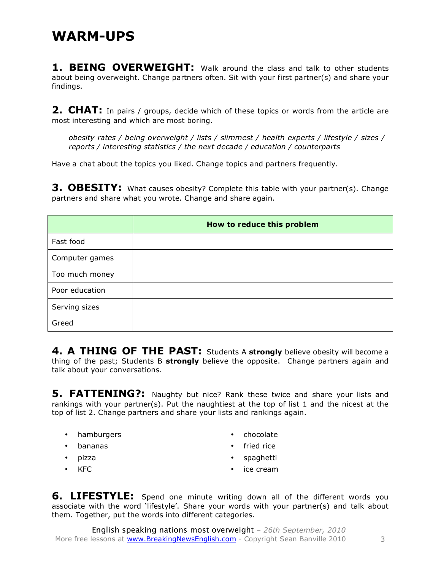#### **WARM-UPS**

1. BEING OVERWEIGHT: Walk around the class and talk to other students about being overweight. Change partners often. Sit with your first partner(s) and share your findings.

**2. CHAT:** In pairs / groups, decide which of these topics or words from the article are most interesting and which are most boring.

*obesity rates / being overweight / lists / slimmest / health experts / lifestyle / sizes / reports / interesting statistics / the next decade / education / counterparts*

Have a chat about the topics you liked. Change topics and partners frequently.

**3. OBESITY:** What causes obesity? Complete this table with your partner(s). Change partners and share what you wrote. Change and share again.

|                | How to reduce this problem |
|----------------|----------------------------|
| Fast food      |                            |
| Computer games |                            |
| Too much money |                            |
| Poor education |                            |
| Serving sizes  |                            |
| Greed          |                            |

**4. A THING OF THE PAST:** Students A **strongly** believe obesity will become a thing of the past; Students B **strongly** believe the opposite. Change partners again and talk about your conversations.

**5. FATTENING?:** Naughty but nice? Rank these twice and share your lists and rankings with your partner(s). Put the naughtiest at the top of list 1 and the nicest at the top of list 2. Change partners and share your lists and rankings again.

- hamburgers
- bananas
- pizza
- KFC
- chocolate
- fried rice
- spaghetti
- ice cream

**6. LIFESTYLE:** Spend one minute writing down all of the different words you associate with the word 'lifestyle'. Share your words with your partner(s) and talk about them. Together, put the words into different categories.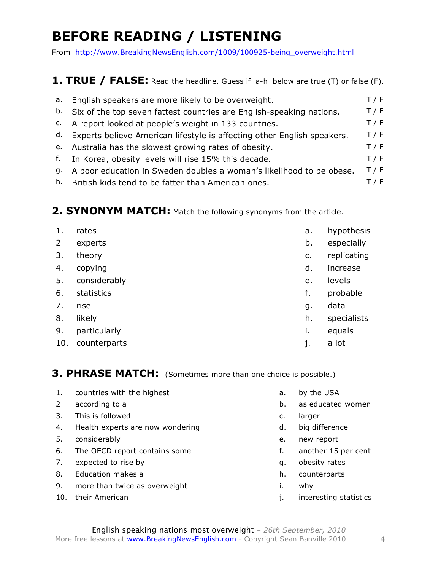# **BEFORE READING / LISTENING**

From http://www.BreakingNewsEnglish.com/1009/100925-being\_overweight.html

#### 1. TRUE / FALSE: Read the headline. Guess if a-h below are true (T) or false (F).

| а. | English speakers are more likely to be overweight.                         | T / F |
|----|----------------------------------------------------------------------------|-------|
|    | b. Six of the top seven fattest countries are English-speaking nations.    | T/F   |
|    | c. A report looked at people's weight in 133 countries.                    | T / F |
|    | d. Experts believe American lifestyle is affecting other English speakers. | T / F |
|    | e. Australia has the slowest growing rates of obesity.                     | T / F |
| f. | In Korea, obesity levels will rise 15% this decade.                        | T / F |
| q. | A poor education in Sweden doubles a woman's likelihood to be obese.       | T / F |
|    | h. British kids tend to be fatter than American ones.                      | T / F |

#### 2. SYNONYM MATCH: Match the following synonyms from the article.

| 1.             | rates        | a. | hypothesis  |
|----------------|--------------|----|-------------|
| $\overline{2}$ | experts      | b. | especially  |
| 3.             | theory       | c. | replicating |
| 4.             | copying      | d. | increase    |
| 5.             | considerably | e. | levels      |
| 6.             | statistics   | f. | probable    |
| 7.             | rise         | g. | data        |
| 8.             | likely       | h. | specialists |
| 9.             | particularly | i. | equals      |
| 10.            | counterparts | j. | a lot       |

#### **3. PHRASE MATCH:** (Sometimes more than one choice is possible.)

- 1. countries with the highest and the state of the USA
- 
- 3. This is followed by the case of the c. larger
- 4. Health experts are now wondering and the same d. big difference
- 5. considerably e. new report
- 6. The OECD report contains some **the contains in the CEC** report on taking the solution of the contains and the solution of the solution of the solution of the solution of the solution of the solution of the solution of t
- 7. expected to rise by a set of the set of the set of the set of the set of the set of the set of the set of the set of the set of the set of the set of the set of the set of the set of the set of the set of the set of the
- 8. Education makes a h. counterparts
- 9. more than twice as overweight i. why
- 
- 
- 2 according to a b. as educated women
	-
	-
	-
	-
	-
	-
	-
- 10. their American is a set of the set of the statistics interesting statistics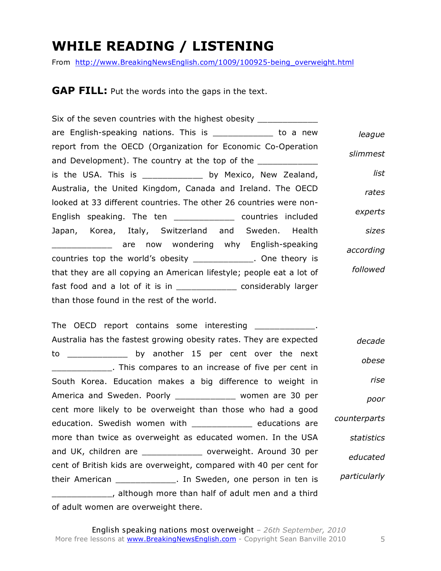#### **WHILE READING / LISTENING**

From http://www.BreakingNewsEnglish.com/1009/100925-being\_overweight.html

**GAP FILL:** Put the words into the gaps in the text.

Six of the seven countries with the highest obesity \_\_\_\_\_\_\_\_\_ are English-speaking nations. This is the state of a new report from the OECD (Organization for Economic Co-Operation and Development). The country at the top of the is the USA. This is \_\_\_\_\_\_\_\_\_\_\_\_\_ by Mexico, New Zealand, Australia, the United Kingdom, Canada and Ireland. The OECD looked at 33 different countries. The other 26 countries were non-English speaking. The ten \_\_\_\_\_\_\_\_\_\_\_\_ countries included Japan, Korea, Italy, Switzerland and Sweden. Health \_\_\_\_\_\_\_\_\_\_\_\_ are now wondering why English-speaking countries top the world's obesity and the ory is that they are all copying an American lifestyle; people eat a lot of fast food and a lot of it is in example in the considerably larger than those found in the rest of the world. *league slimmest list rates experts sizes according followed*

The OECD report contains some interesting The OECD report contains some interesting Australia has the fastest growing obesity rates. They are expected to \_\_\_\_\_\_\_\_\_\_\_\_ by another 15 per cent over the next **Example 20** This compares to an increase of five per cent in South Korea. Education makes a big difference to weight in America and Sweden. Poorly \_\_\_\_\_\_\_\_\_\_\_\_\_ women are 30 per cent more likely to be overweight than those who had a good education. Swedish women with \_\_\_\_\_\_\_\_\_\_\_\_\_\_ educations are more than twice as overweight as educated women. In the USA and UK, children are \_\_\_\_\_\_\_\_\_\_\_\_ overweight. Around 30 per cent of British kids are overweight, compared with 40 per cent for their American \_\_\_\_\_\_\_\_\_\_\_\_. In Sweden, one person in ten is \_\_\_\_\_\_\_\_\_\_\_\_, although more than half of adult men and a third of adult women are overweight there. *decade obese rise poor counterparts statistics educated particularly*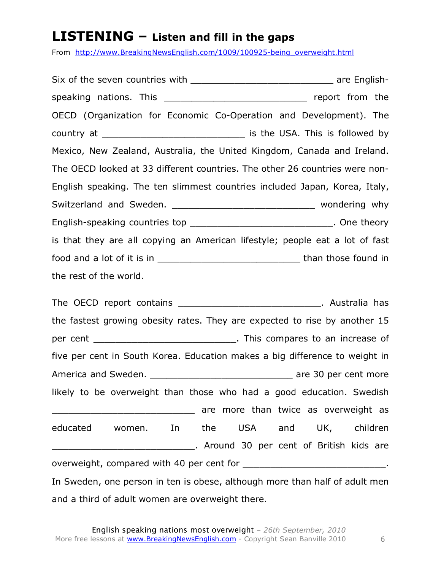#### **LISTENING – Listen and fill in the gaps**

From http://www.BreakingNewsEnglish.com/1009/100925-being\_overweight.html

Six of the seven countries with the seven countries with the seven server are Englishspeaking nations. This example the speaking nations. This OECD (Organization for Economic Co-Operation and Development). The country at \_\_\_\_\_\_\_\_\_\_\_\_\_\_\_\_\_\_\_\_\_\_\_\_\_\_ is the USA. This is followed by Mexico, New Zealand, Australia, the United Kingdom, Canada and Ireland. The OECD looked at 33 different countries. The other 26 countries were non-English speaking. The ten slimmest countries included Japan, Korea, Italy, Switzerland and Sweden. \_\_\_\_\_\_\_\_\_\_\_\_\_\_\_\_\_\_\_\_\_\_\_\_\_\_\_\_\_\_\_\_ wondering why English-speaking countries top \_\_\_\_\_\_\_\_\_\_\_\_\_\_\_\_\_\_\_\_\_\_\_\_\_\_\_\_\_\_\_\_. One theory is that they are all copying an American lifestyle; people eat a lot of fast food and a lot of it is in \_\_\_\_\_\_\_\_\_\_\_\_\_\_\_\_\_\_\_\_\_\_\_\_\_\_ than those found in the rest of the world.

The OECD report contains \_\_\_\_\_\_\_\_\_\_\_\_\_\_\_\_\_\_\_\_\_\_\_\_\_\_\_\_\_\_\_. Australia has the fastest growing obesity rates. They are expected to rise by another 15 per cent \_\_\_\_\_\_\_\_\_\_\_\_\_\_\_\_\_\_\_\_\_\_\_\_\_\_\_\_\_\_\_\_. This compares to an increase of five per cent in South Korea. Education makes a big difference to weight in America and Sweden. \_\_\_\_\_\_\_\_\_\_\_\_\_\_\_\_\_\_\_\_\_\_\_\_\_\_\_\_\_\_\_\_\_\_\_ are 30 per cent more likely to be overweight than those who had a good education. Swedish \_\_\_\_\_\_\_\_\_\_\_\_\_\_\_\_\_\_\_\_\_\_\_\_\_\_ are more than twice as overweight as educated women. In the USA and UK, children . Around 30 per cent of British kids are overweight, compared with 40 per cent for \_\_\_\_\_\_\_\_\_\_\_\_\_\_\_\_\_\_\_\_\_\_\_\_\_\_. In Sweden, one person in ten is obese, although more than half of adult men and a third of adult women are overweight there.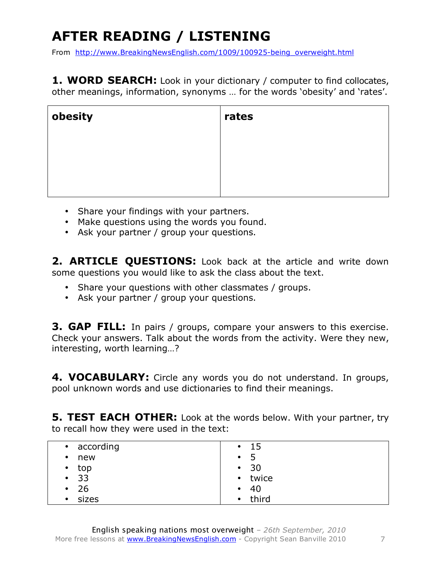# **AFTER READING / LISTENING**

From http://www.BreakingNewsEnglish.com/1009/100925-being\_overweight.html

**1. WORD SEARCH:** Look in your dictionary / computer to find collocates, other meanings, information, synonyms … for the words 'obesity' and 'rates'.

| obesity | rates |
|---------|-------|
|         |       |
|         |       |
|         |       |

- Share your findings with your partners.
- Make questions using the words you found.
- Ask your partner / group your questions.

2. **ARTICLE QUESTIONS:** Look back at the article and write down some questions you would like to ask the class about the text.

- Share your questions with other classmates / groups.
- Ask your partner / group your questions.

**3. GAP FILL:** In pairs / groups, compare your answers to this exercise. Check your answers. Talk about the words from the activity. Were they new, interesting, worth learning…?

**4. VOCABULARY:** Circle any words you do not understand. In groups, pool unknown words and use dictionaries to find their meanings.

**5. TEST EACH OTHER:** Look at the words below. With your partner, try to recall how they were used in the text:

| • according | -15<br>$\bullet$ |
|-------------|------------------|
| new         | $\bullet$        |
| $\bullet$   | כ                |
| top         | - 30             |
| $\bullet$   | $\bullet$        |
| • 33        | • twice          |
| 26          | - 40             |
| $\bullet$   | $\bullet$        |
| sizes       | third            |
| $\bullet$   | $\bullet$        |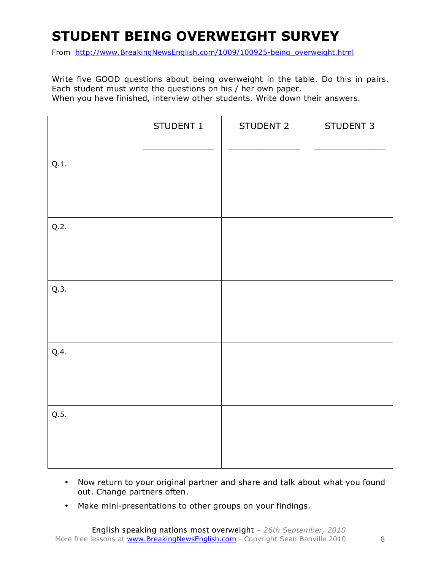## **STUDENT BEING OVERWEIGHT SURVEY**

From http://www.BreakingNewsEnglish.com/1009/100925-being\_overweight.html

Write five GOOD questions about being overweight in the table. Do this in pairs. Each student must write the questions on his / her own paper. When you have finished, interview other students. Write down their answers.

|      | STUDENT 1 | STUDENT 2 | STUDENT 3 |
|------|-----------|-----------|-----------|
| Q.1. |           |           |           |
| Q.2. |           |           |           |
| Q.3. |           |           |           |
| Q.4. |           |           |           |
| Q.5. |           |           |           |

- Now return to your original partner and share and talk about what you found out. Change partners often.
- Make mini-presentations to other groups on your findings.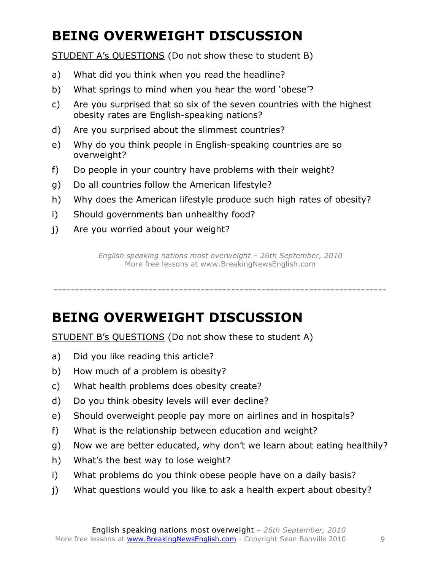# **BEING OVERWEIGHT DISCUSSION**

STUDENT A's QUESTIONS (Do not show these to student B)

- a) What did you think when you read the headline?
- b) What springs to mind when you hear the word 'obese'?
- c) Are you surprised that so six of the seven countries with the highest obesity rates are English-speaking nations?
- d) Are you surprised about the slimmest countries?
- e) Why do you think people in English-speaking countries are so overweight?
- f) Do people in your country have problems with their weight?
- g) Do all countries follow the American lifestyle?
- h) Why does the American lifestyle produce such high rates of obesity?
- i) Should governments ban unhealthy food?
- j) Are you worried about your weight?

*English speaking nations most overweight – 26th September, 2010* More free lessons at www.BreakingNewsEnglish.com

-----------------------------------------------------------------------------

### **BEING OVERWEIGHT DISCUSSION**

STUDENT B's QUESTIONS (Do not show these to student A)

- a) Did you like reading this article?
- b) How much of a problem is obesity?
- c) What health problems does obesity create?
- d) Do you think obesity levels will ever decline?
- e) Should overweight people pay more on airlines and in hospitals?
- f) What is the relationship between education and weight?
- g) Now we are better educated, why don't we learn about eating healthily?
- h) What's the best way to lose weight?
- i) What problems do you think obese people have on a daily basis?
- j) What questions would you like to ask a health expert about obesity?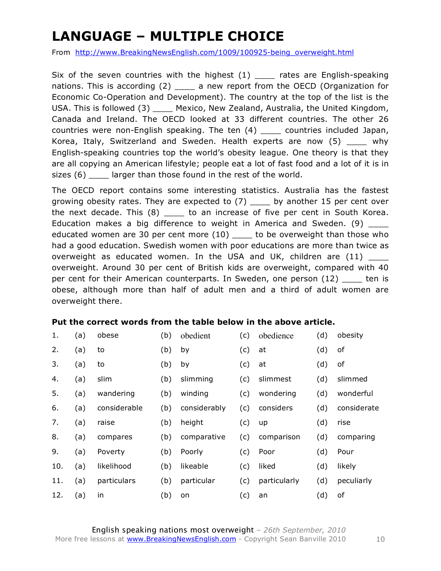# **LANGUAGE – MULTIPLE CHOICE**

From http://www.BreakingNewsEnglish.com/1009/100925-being\_overweight.html

Six of the seven countries with the highest  $(1)$  \_\_\_\_ rates are English-speaking nations. This is according (2) \_\_\_\_ a new report from the OECD (Organization for Economic Co-Operation and Development). The country at the top of the list is the USA. This is followed (3) Mexico, New Zealand, Australia, the United Kingdom, Canada and Ireland. The OECD looked at 33 different countries. The other 26 countries were non-English speaking. The ten (4) \_\_\_\_ countries included Japan, Korea, Italy, Switzerland and Sweden. Health experts are now (5) why English-speaking countries top the world's obesity league. One theory is that they are all copying an American lifestyle; people eat a lot of fast food and a lot of it is in sizes (6) \_\_\_\_ larger than those found in the rest of the world.

The OECD report contains some interesting statistics. Australia has the fastest growing obesity rates. They are expected to  $(7)$  \_\_\_\_ by another 15 per cent over the next decade. This (8) to an increase of five per cent in South Korea. Education makes a big difference to weight in America and Sweden. (9) educated women are 30 per cent more (10) to be overweight than those who had a good education. Swedish women with poor educations are more than twice as overweight as educated women. In the USA and UK, children are  $(11)$ overweight. Around 30 per cent of British kids are overweight, compared with 40 per cent for their American counterparts. In Sweden, one person (12) ten is obese, although more than half of adult men and a third of adult women are overweight there.

#### **Put the correct words from the table below in the above article.**

| 1.  | (a) | obese        | (b) | obedient     | (c) | obedience    | (d) | obesity     |
|-----|-----|--------------|-----|--------------|-----|--------------|-----|-------------|
| 2.  | (a) | to           | (b) | by           | (c) | at           | (d) | of          |
| 3.  | (a) | to           | (b) | by           | (c) | at           | (d) | оf          |
| 4.  | (a) | slim         | (b) | slimming     | (c) | slimmest     | (d) | slimmed     |
| 5.  | (a) | wandering    | (b) | winding      | (c) | wondering    | (d) | wonderful   |
| 6.  | (a) | considerable | (b) | considerably | (c) | considers    | (d) | considerate |
| 7.  | (a) | raise        | (b) | height       | (c) | up           | (d) | rise        |
| 8.  | (a) | compares     | (b) | comparative  | (c) | comparison   | (d) | comparing   |
| 9.  | (a) | Poverty      | (b) | Poorly       | (c) | Poor         | (d) | Pour        |
| 10. | (a) | likelihood   | (b) | likeable     | (c) | liked        | (d) | likely      |
| 11. | (a) | particulars  | (b) | particular   | (c) | particularly | (d) | peculiarly  |
| 12. | (a) | in           | (b) | on           | (c) | an           | (d) | of          |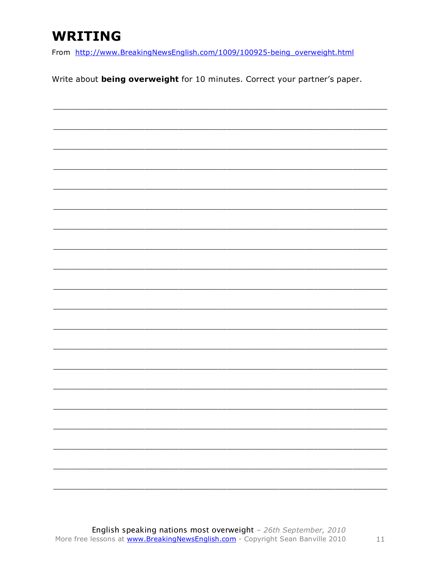### **WRITING**

From http://www.BreakingNewsEnglish.com/1009/100925-being\_overweight.html

Write about being overweight for 10 minutes. Correct your partner's paper.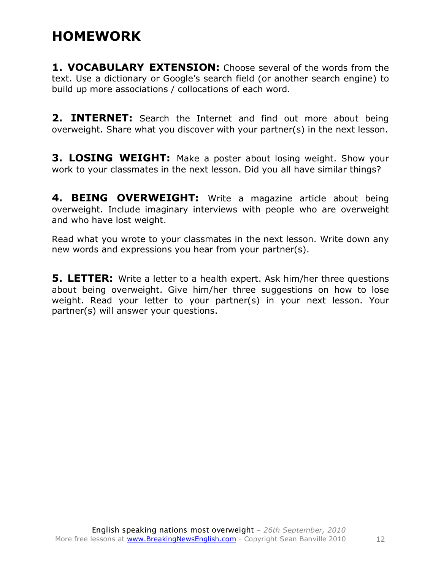#### **HOMEWORK**

**1. VOCABULARY EXTENSION:** Choose several of the words from the text. Use a dictionary or Google's search field (or another search engine) to build up more associations / collocations of each word.

**2. INTERNET:** Search the Internet and find out more about being overweight. Share what you discover with your partner(s) in the next lesson.

**3. LOSING WEIGHT:** Make a poster about losing weight. Show your work to your classmates in the next lesson. Did you all have similar things?

**4. BEING OVERWEIGHT:** Write a magazine article about being overweight. Include imaginary interviews with people who are overweight and who have lost weight.

Read what you wrote to your classmates in the next lesson. Write down any new words and expressions you hear from your partner(s).

**5. LETTER:** Write a letter to a health expert. Ask him/her three questions about being overweight. Give him/her three suggestions on how to lose weight. Read your letter to your partner(s) in your next lesson. Your partner(s) will answer your questions.